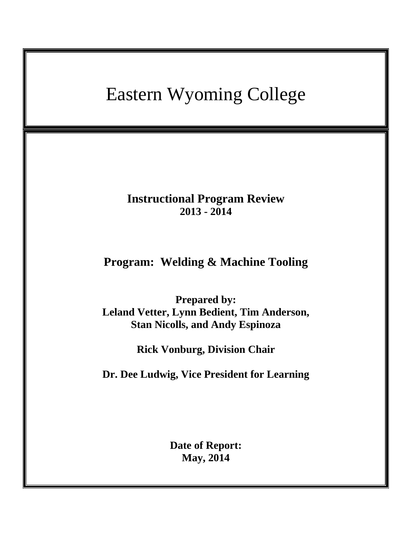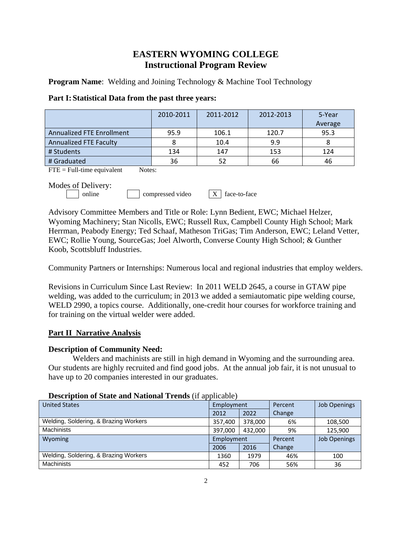# **EASTERN WYOMING COLLEGE Instructional Program Review**

**Program Name:** Welding and Joining Technology & Machine Tool Technology

| Part I: Statistical Data from the past three years: |  |
|-----------------------------------------------------|--|
|-----------------------------------------------------|--|

|                                  | 2010-2011 | 2011-2012 | 2012-2013 | 5-Year  |
|----------------------------------|-----------|-----------|-----------|---------|
|                                  |           |           |           | Average |
| <b>Annualized FTE Enrollment</b> | 95.9      | 106.1     | 120.7     | 95.3    |
| <b>Annualized FTE Faculty</b>    |           | 10.4      | 9.9       |         |
| # Students                       | 134       | 147       | 153       | 124     |
| l # Graduated                    | 36        | 52        | 66        | 46      |

 $\text{FTE} = \text{Full-time equivalent}$  Notes:

Modes of Delivery:

online compressed video  $\bar{X}$  face-to-face

Advisory Committee Members and Title or Role: Lynn Bedient, EWC; Michael Helzer, Wyoming Machinery; Stan Nicolls, EWC; Russell Rux, Campbell County High School; Mark Herrman, Peabody Energy; Ted Schaaf, Matheson TriGas; Tim Anderson, EWC; Leland Vetter, EWC; Rollie Young, SourceGas; Joel Alworth, Converse County High School; & Gunther Koob, Scottsbluff Industries.

Community Partners or Internships: Numerous local and regional industries that employ welders.

Revisions in Curriculum Since Last Review: In 2011 WELD 2645, a course in GTAW pipe welding, was added to the curriculum; in 2013 we added a semiautomatic pipe welding course, WELD 2990, a topics course. Additionally, one-credit hour courses for workforce training and for training on the virtual welder were added.

## **Part II Narrative Analysis**

## **Description of Community Need:**

Welders and machinists are still in high demand in Wyoming and the surrounding area. Our students are highly recruited and find good jobs. At the annual job fair, it is not unusual to have up to 20 companies interested in our graduates.

| <b>United States</b>                  | Employment |         | Percent | <b>Job Openings</b> |  |
|---------------------------------------|------------|---------|---------|---------------------|--|
|                                       | 2012       | 2022    | Change  |                     |  |
| Welding, Soldering, & Brazing Workers | 357,400    | 378,000 | 6%      | 108,500             |  |
| <b>Machinists</b>                     | 397,000    | 432.000 | 9%      | 125,900             |  |
| Wyoming                               | Employment |         | Percent | <b>Job Openings</b> |  |
|                                       | 2006       | 2016    | Change  |                     |  |
| Welding, Soldering, & Brazing Workers | 1360       | 1979    | 46%     | 100                 |  |
| Machinists                            | 452        | 706     | 56%     | 36                  |  |

## **Description of State and National Trends** (if applicable)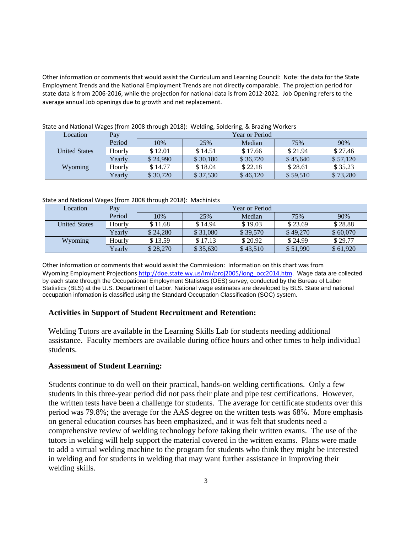Other information or comments that would assist the Curriculum and Learning Council: Note: the data for the State Employment Trends and the National Employment Trends are not directly comparable. The projection period for state data is from 2006-2016, while the projection for national data is from 2012-2022. Job Opening refers to the average annual Job openings due to growth and net replacement.

| Location             | Pay    | Year or Period |          |          |          |          |
|----------------------|--------|----------------|----------|----------|----------|----------|
|                      | Period | 10%            | 25%      | Median   | 75%      | 90%      |
| <b>United States</b> | Hourly | \$12.01        | \$14.51  | \$17.66  | \$21.94  | \$27.46  |
|                      | Yearly | \$24,990       | \$30,180 | \$36,720 | \$45,640 | \$57,120 |
| Wyoming              | Hourly | \$14.77        | \$18.04  | \$22.18  | \$28.61  | \$35.23  |
|                      | Yearly | \$30,720       | \$37,530 | \$46,120 | \$59.510 | \$73,280 |

State and National Wages (from 2008 through 2018): Welding, Soldering, & Brazing Workers

State and National Wages (from 2008 through 2018): Machinists

| Location             | Pay    | Year or Period |          |          |          |          |
|----------------------|--------|----------------|----------|----------|----------|----------|
|                      | Period | 10%            | 25%      | Median   | 75%      | 90%      |
| <b>United States</b> | Hourly | \$11.68        | \$14.94  | \$19.03  | \$23.69  | \$28.88  |
|                      | Yearly | \$24,280       | \$31,080 | \$39,570 | \$49,270 | \$60,070 |
| Wyoming              | Hourly | \$13.59        | \$17.13  | \$20.92  | \$24.99  | \$29.77  |
|                      | Yearlv | \$28,270       | \$35,630 | \$43.510 | \$51,990 | \$61,920 |

Other information or comments that would assist the Commission: Information on this chart was from Wyoming Employment Projections [http://doe.state.wy.us/lmi/proj2005/long\\_occ2014.htm.](http://doe.state.wy.us/lmi/proj2005/long_occ2014.htm) Wage data are collected by each state through the Occupational Employment Statistics (OES) survey, conducted by the Bureau of Labor Statistics (BLS) at the U.S. Department of Labor. National wage estimates are developed by BLS. State and national occupation infomation is classified using the Standard Occupation Classification (SOC) system.

## **Activities in Support of Student Recruitment and Retention:**

Welding Tutors are available in the Learning Skills Lab for students needing additional assistance. Faculty members are available during office hours and other times to help individual students.

## **Assessment of Student Learning:**

Students continue to do well on their practical, hands-on welding certifications. Only a few students in this three-year period did not pass their plate and pipe test certifications. However, the written tests have been a challenge for students. The average for certificate students over this period was 79.8%; the average for the AAS degree on the written tests was 68%. More emphasis on general education courses has been emphasized, and it was felt that students need a comprehensive review of welding technology before taking their written exams. The use of the tutors in welding will help support the material covered in the written exams. Plans were made to add a virtual welding machine to the program for students who think they might be interested in welding and for students in welding that may want further assistance in improving their welding skills.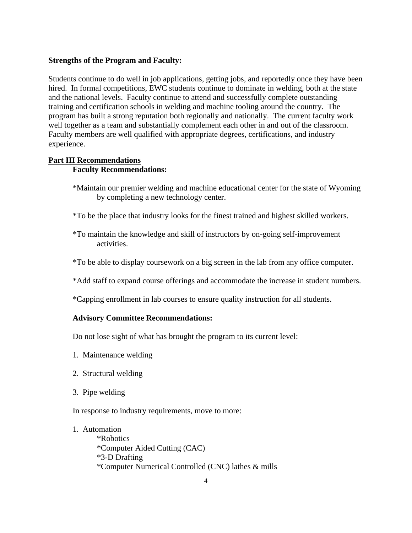## **Strengths of the Program and Faculty:**

Students continue to do well in job applications, getting jobs, and reportedly once they have been hired. In formal competitions, EWC students continue to dominate in welding, both at the state and the national levels. Faculty continue to attend and successfully complete outstanding training and certification schools in welding and machine tooling around the country. The program has built a strong reputation both regionally and nationally. The current faculty work well together as a team and substantially complement each other in and out of the classroom. Faculty members are well qualified with appropriate degrees, certifications, and industry experience.

## **Part III Recommendations Faculty Recommendations:**

- \*Maintain our premier welding and machine educational center for the state of Wyoming by completing a new technology center.
- \*To be the place that industry looks for the finest trained and highest skilled workers.
- \*To maintain the knowledge and skill of instructors by on-going self-improvement activities.
- \*To be able to display coursework on a big screen in the lab from any office computer.
- \*Add staff to expand course offerings and accommodate the increase in student numbers.
- \*Capping enrollment in lab courses to ensure quality instruction for all students.

## **Advisory Committee Recommendations:**

Do not lose sight of what has brought the program to its current level:

- 1. Maintenance welding
- 2. Structural welding
- 3. Pipe welding

In response to industry requirements, move to more:

1. Automation

\*Robotics \*Computer Aided Cutting (CAC) \*3-D Drafting \*Computer Numerical Controlled (CNC) lathes & mills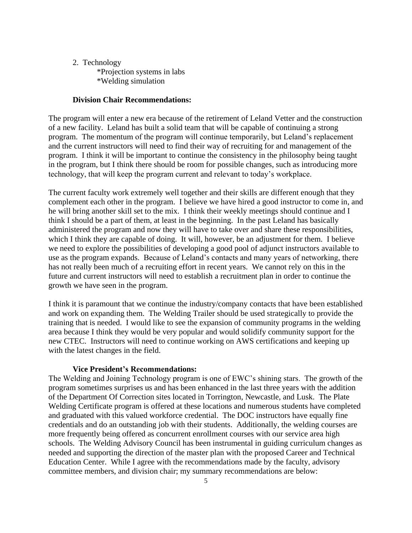## 2. Technology

\*Projection systems in labs \*Welding simulation

#### **Division Chair Recommendations:**

The program will enter a new era because of the retirement of Leland Vetter and the construction of a new facility. Leland has built a solid team that will be capable of continuing a strong program. The momentum of the program will continue temporarily, but Leland's replacement and the current instructors will need to find their way of recruiting for and management of the program. I think it will be important to continue the consistency in the philosophy being taught in the program, but I think there should be room for possible changes, such as introducing more technology, that will keep the program current and relevant to today's workplace.

The current faculty work extremely well together and their skills are different enough that they complement each other in the program. I believe we have hired a good instructor to come in, and he will bring another skill set to the mix. I think their weekly meetings should continue and I think I should be a part of them, at least in the beginning. In the past Leland has basically administered the program and now they will have to take over and share these responsibilities, which I think they are capable of doing. It will, however, be an adjustment for them. I believe we need to explore the possibilities of developing a good pool of adjunct instructors available to use as the program expands. Because of Leland's contacts and many years of networking, there has not really been much of a recruiting effort in recent years. We cannot rely on this in the future and current instructors will need to establish a recruitment plan in order to continue the growth we have seen in the program.

I think it is paramount that we continue the industry/company contacts that have been established and work on expanding them. The Welding Trailer should be used strategically to provide the training that is needed. I would like to see the expansion of community programs in the welding area because I think they would be very popular and would solidify community support for the new CTEC. Instructors will need to continue working on AWS certifications and keeping up with the latest changes in the field.

#### **Vice President's Recommendations:**

The Welding and Joining Technology program is one of EWC's shining stars. The growth of the program sometimes surprises us and has been enhanced in the last three years with the addition of the Department Of Correction sites located in Torrington, Newcastle, and Lusk. The Plate Welding Certificate program is offered at these locations and numerous students have completed and graduated with this valued workforce credential. The DOC instructors have equally fine credentials and do an outstanding job with their students. Additionally, the welding courses are more frequently being offered as concurrent enrollment courses with our service area high schools. The Welding Advisory Council has been instrumental in guiding curriculum changes as needed and supporting the direction of the master plan with the proposed Career and Technical Education Center. While I agree with the recommendations made by the faculty, advisory committee members, and division chair; my summary recommendations are below: